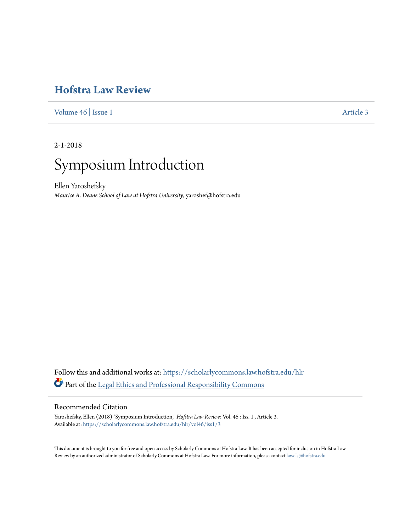## **[Hofstra Law Review](https://scholarlycommons.law.hofstra.edu/hlr?utm_source=scholarlycommons.law.hofstra.edu%2Fhlr%2Fvol46%2Fiss1%2F3&utm_medium=PDF&utm_campaign=PDFCoverPages)**

[Volume 46](https://scholarlycommons.law.hofstra.edu/hlr/vol46?utm_source=scholarlycommons.law.hofstra.edu%2Fhlr%2Fvol46%2Fiss1%2F3&utm_medium=PDF&utm_campaign=PDFCoverPages) | [Issue 1](https://scholarlycommons.law.hofstra.edu/hlr/vol46/iss1?utm_source=scholarlycommons.law.hofstra.edu%2Fhlr%2Fvol46%2Fiss1%2F3&utm_medium=PDF&utm_campaign=PDFCoverPages) [Article 3](https://scholarlycommons.law.hofstra.edu/hlr/vol46/iss1/3?utm_source=scholarlycommons.law.hofstra.edu%2Fhlr%2Fvol46%2Fiss1%2F3&utm_medium=PDF&utm_campaign=PDFCoverPages)

2-1-2018

# Symposium Introduction

Ellen Yaroshefsky *Maurice A. Deane School of Law at Hofstra University*, yaroshef@hofstra.edu

Follow this and additional works at: [https://scholarlycommons.law.hofstra.edu/hlr](https://scholarlycommons.law.hofstra.edu/hlr?utm_source=scholarlycommons.law.hofstra.edu%2Fhlr%2Fvol46%2Fiss1%2F3&utm_medium=PDF&utm_campaign=PDFCoverPages) Part of the [Legal Ethics and Professional Responsibility Commons](http://network.bepress.com/hgg/discipline/895?utm_source=scholarlycommons.law.hofstra.edu%2Fhlr%2Fvol46%2Fiss1%2F3&utm_medium=PDF&utm_campaign=PDFCoverPages)

## Recommended Citation

Yaroshefsky, Ellen (2018) "Symposium Introduction," *Hofstra Law Review*: Vol. 46 : Iss. 1 , Article 3. Available at: [https://scholarlycommons.law.hofstra.edu/hlr/vol46/iss1/3](https://scholarlycommons.law.hofstra.edu/hlr/vol46/iss1/3?utm_source=scholarlycommons.law.hofstra.edu%2Fhlr%2Fvol46%2Fiss1%2F3&utm_medium=PDF&utm_campaign=PDFCoverPages)

This document is brought to you for free and open access by Scholarly Commons at Hofstra Law. It has been accepted for inclusion in Hofstra Law Review by an authorized administrator of Scholarly Commons at Hofstra Law. For more information, please contact [lawcls@hofstra.edu](mailto:lawcls@hofstra.edu).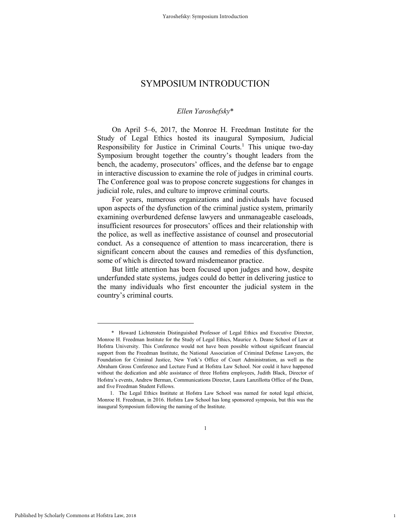### *Ellen Yaroshefsky*\*

On April 5–6, 2017, the Monroe H. Freedman Institute for the Study of Legal Ethics hosted its inaugural Symposium, Judicial Responsibility for Justice in Criminal Courts.<sup>1</sup> This unique two-day Symposium brought together the country's thought leaders from the bench, the academy, prosecutors' offices, and the defense bar to engage in interactive discussion to examine the role of judges in criminal courts. The Conference goal was to propose concrete suggestions for changes in judicial role, rules, and culture to improve criminal courts.

For years, numerous organizations and individuals have focused upon aspects of the dysfunction of the criminal justice system, primarily examining overburdened defense lawyers and unmanageable caseloads, insufficient resources for prosecutors' offices and their relationship with the police, as well as ineffective assistance of counsel and prosecutorial conduct. As a consequence of attention to mass incarceration, there is significant concern about the causes and remedies of this dysfunction, some of which is directed toward misdemeanor practice.

But little attention has been focused upon judges and how, despite underfunded state systems, judges could do better in delivering justice to the many individuals who first encounter the judicial system in the country's criminal courts.

1

 <sup>\*</sup> Howard Lichtenstein Distinguished Professor of Legal Ethics and Executive Director, Monroe H. Freedman Institute for the Study of Legal Ethics, Maurice A. Deane School of Law at Hofstra University. This Conference would not have been possible without significant financial support from the Freedman Institute, the National Association of Criminal Defense Lawyers, the Foundation for Criminal Justice, New York's Office of Court Administration, as well as the Abraham Gross Conference and Lecture Fund at Hofstra Law School. Nor could it have happened without the dedication and able assistance of three Hofstra employees, Judith Black, Director of Hofstra's events, Andrew Berman, Communications Director, Laura Lanzillotta Office of the Dean, and five Freedman Student Fellows.

<sup>1.</sup> The Legal Ethics Institute at Hofstra Law School was named for noted legal ethicist, Monroe H. Freedman, in 2016. Hofstra Law School has long sponsored symposia, but this was the inaugural Symposium following the naming of the Institute.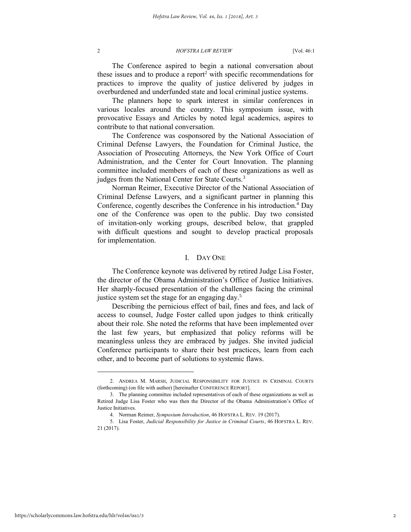The Conference aspired to begin a national conversation about these issues and to produce a report<sup>2</sup> with specific recommendations for practices to improve the quality of justice delivered by judges in overburdened and underfunded state and local criminal justice systems.

The planners hope to spark interest in similar conferences in various locales around the country. This symposium issue, with provocative Essays and Articles by noted legal academics, aspires to contribute to that national conversation.

The Conference was cosponsored by the National Association of Criminal Defense Lawyers, the Foundation for Criminal Justice, the Association of Prosecuting Attorneys, the New York Office of Court Administration, and the Center for Court Innovation. The planning committee included members of each of these organizations as well as judges from the National Center for State Courts.<sup>3</sup>

Norman Reimer, Executive Director of the National Association of Criminal Defense Lawyers, and a significant partner in planning this Conference, cogently describes the Conference in his introduction.<sup>4</sup> Day one of the Conference was open to the public. Day two consisted of invitation-only working groups, described below, that grappled with difficult questions and sought to develop practical proposals for implementation.

## I. DAY ONE

The Conference keynote was delivered by retired Judge Lisa Foster, the director of the Obama Administration's Office of Justice Initiatives. Her sharply-focused presentation of the challenges facing the criminal justice system set the stage for an engaging day.<sup>5</sup>

Describing the pernicious effect of bail, fines and fees, and lack of access to counsel, Judge Foster called upon judges to think critically about their role. She noted the reforms that have been implemented over the last few years, but emphasized that policy reforms will be meaningless unless they are embraced by judges. She invited judicial Conference participants to share their best practices, learn from each other, and to become part of solutions to systemic flaws.

<sup>2.</sup> ANDREA M. MARSH, JUDICIAL RESPONSIBILITY FOR JUSTICE IN CRIMINAL COURTS (forthcoming) (on file with author) [hereinafter CONFERENCE REPORT].

<sup>3.</sup> The planning committee included representatives of each of these organizations as well as Retired Judge Lisa Foster who was then the Director of the Obama Administration's Office of Justice Initiatives.

<sup>4.</sup> Norman Reimer, *Symposium Introduction*, 46 HOFSTRA L. REV. 19 (2017).

<sup>5.</sup> Lisa Foster, *Judicial Responsibility for Justice in Criminal Courts*, 46 HOFSTRA L. REV. 21 (2017).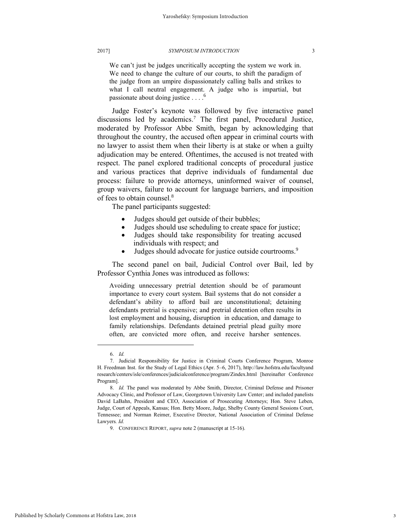We can't just be judges uncritically accepting the system we work in. We need to change the culture of our courts, to shift the paradigm of the judge from an umpire dispassionately calling balls and strikes to what I call neutral engagement. A judge who is impartial, but passionate about doing justice  $\ldots$ <sup>6</sup>

Judge Foster's keynote was followed by five interactive panel discussions led by academics.<sup>7</sup> The first panel, Procedural Justice, moderated by Professor Abbe Smith, began by acknowledging that throughout the country, the accused often appear in criminal courts with no lawyer to assist them when their liberty is at stake or when a guilty adjudication may be entered. Oftentimes, the accused is not treated with respect. The panel explored traditional concepts of procedural justice and various practices that deprive individuals of fundamental due process: failure to provide attorneys, uninformed waiver of counsel, group waivers, failure to account for language barriers, and imposition of fees to obtain counsel.<sup>8</sup>

The panel participants suggested:

- Judges should get outside of their bubbles;
- Judges should use scheduling to create space for justice;
- Judges should take responsibility for treating accused individuals with respect; and
- Judges should advocate for justice outside courtrooms.<sup>9</sup>

The second panel on bail, Judicial Control over Bail, led by Professor Cynthia Jones was introduced as follows:

Avoiding unnecessary pretrial detention should be of paramount importance to every court system. Bail systems that do not consider a defendant's ability to afford bail are unconstitutional; detaining defendants pretrial is expensive; and pretrial detention often results in lost employment and housing, disruption in education, and damage to family relationships. Defendants detained pretrial plead guilty more often, are convicted more often, and receive harsher sentences.

<sup>6.</sup> *Id.*

<sup>7.</sup> Judicial Responsibility for Justice in Criminal Courts Conference Program, Monroe H. Freedman Inst. for the Study of Legal Ethics (Apr. 5–6, 2017), http://law.hofstra.edu/facultyand research/centers/isle/conferences/judicialconference/program/Zindex.html [hereinafter Conference Program].

<sup>8.</sup> *Id.* The panel was moderated by Abbe Smith, Director, Criminal Defense and Prisoner Advocacy Clinic, and Professor of Law, Georgetown University Law Center; and included panelists David LaBahn, President and CEO, Association of Prosecuting Attorneys; Hon. Steve Leben, Judge, Court of Appeals, Kansas; Hon. Betty Moore, Judge, Shelby County General Sessions Court, Tennessee; and Norman Reimer, Executive Director, National Association of Criminal Defense Lawyers*. Id.*

<sup>9.</sup> CONFERENCE REPORT, *supra* note 2 (manuscript at 15-16).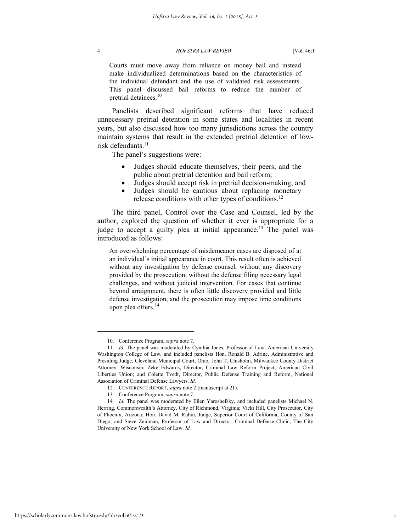Courts must move away from reliance on money bail and instead make individualized determinations based on the characteristics of the individual defendant and the use of validated risk assessments. This panel discussed bail reforms to reduce the number of pretrial detainees.<sup>10</sup>

Panelists described significant reforms that have reduced unnecessary pretrial detention in some states and localities in recent years, but also discussed how too many jurisdictions across the country maintain systems that result in the extended pretrial detention of lowrisk defendants. $11$ 

The panel's suggestions were:

- Judges should educate themselves, their peers, and the public about pretrial detention and bail reform;
- Judges should accept risk in pretrial decision-making; and
- Judges should be cautious about replacing monetary release conditions with other types of conditions.<sup>12</sup>

The third panel, Control over the Case and Counsel, led by the author, explored the question of whether it ever is appropriate for a judge to accept a guilty plea at initial appearance.<sup>13</sup> The panel was introduced as follows:

An overwhelming percentage of misdemeanor cases are disposed of at an individual's initial appearance in court. This result often is achieved without any investigation by defense counsel, without any discovery provided by the prosecution, without the defense filing necessary legal challenges, and without judicial intervention. For cases that continue beyond arraignment, there is often little discovery provided and little defense investigation, and the prosecution may impose time conditions upon plea offers.<sup>14</sup>

<sup>10.</sup> Conference Program, *supra* note 7.

<sup>11.</sup> *Id.* The panel was moderated by Cynthia Jones, Professor of Law, American University Washington College of Law, and included panelists Hon. Ronald B. Adrine, Administrative and Presiding Judge, Cleveland Municipal Court, Ohio; John T. Chisholm, Milwaukee County District Attorney, Wisconsin; Zeke Edwards, Director, Criminal Law Reform Project, American Civil Liberties Union; and Colette Tvedt, Director, Public Defense Training and Reform, National Association of Criminal Defense Lawyers. *Id.*

<sup>12.</sup> CONFERENCE REPORT, *supra* note 2 (manuscript at 21).

<sup>13</sup>*.* Conference Program, *supra* note 7.

<sup>14.</sup> Id. The panel was moderated by Ellen Yaroshefsky, and included panelists Michael N. Herring, Commonwealth's Attorney, City of Richmond, Virginia; Vicki Hill, City Prosecutor, City of Phoenix, Arizona; Hon. David M. Rubin, Judge, Superior Court of California, County of San Diego; and Steve Zeidman, Professor of Law and Director, Criminal Defense Clinic, The City University of New York School of Law. *Id.*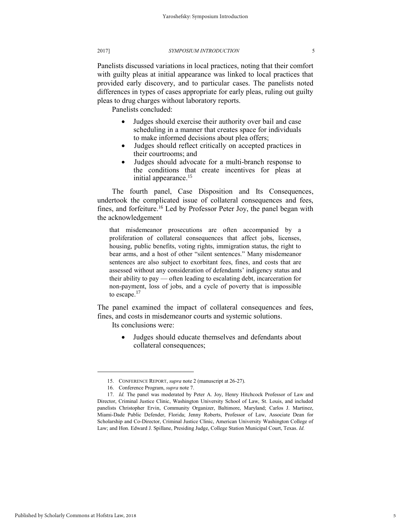Panelists discussed variations in local practices, noting that their comfort with guilty pleas at initial appearance was linked to local practices that provided early discovery, and to particular cases. The panelists noted differences in types of cases appropriate for early pleas, ruling out guilty pleas to drug charges without laboratory reports.

Panelists concluded:

- Judges should exercise their authority over bail and case scheduling in a manner that creates space for individuals to make informed decisions about plea offers;
- Judges should reflect critically on accepted practices in their courtrooms; and
- Judges should advocate for a multi-branch response to the conditions that create incentives for pleas at initial appearance.<sup>15</sup>

The fourth panel, Case Disposition and Its Consequences, undertook the complicated issue of collateral consequences and fees, fines, and forfeiture.<sup>16</sup> Led by Professor Peter Joy, the panel began with the acknowledgement

that misdemeanor prosecutions are often accompanied by a proliferation of collateral consequences that affect jobs, licenses, housing, public benefits, voting rights, immigration status, the right to bear arms, and a host of other "silent sentences." Many misdemeanor sentences are also subject to exorbitant fees, fines, and costs that are assessed without any consideration of defendants' indigency status and their ability to pay — often leading to escalating debt, incarceration for non-payment, loss of jobs, and a cycle of poverty that is impossible to escape. $17$ 

The panel examined the impact of collateral consequences and fees, fines, and costs in misdemeanor courts and systemic solutions.

Its conclusions were:

 Judges should educate themselves and defendants about collateral consequences;

<sup>15.</sup> CONFERENCE REPORT, *supra* note 2 (manuscript at 26-27).

<sup>16.</sup> Conference Program, *supra* note 7.

<sup>17.</sup> *Id.* The panel was moderated by Peter A. Joy, Henry Hitchcock Professor of Law and Director, Criminal Justice Clinic, Washington University School of Law, St. Louis, and included panelists Christopher Ervin, Community Organizer, Baltimore, Maryland; Carlos J. Martinez, Miami-Dade Public Defender, Florida; Jenny Roberts, Professor of Law, Associate Dean for Scholarship and Co-Director, Criminal Justice Clinic, American University Washington College of Law; and Hon. Edward J. Spillane, Presiding Judge, College Station Municipal Court, Texas. *Id.*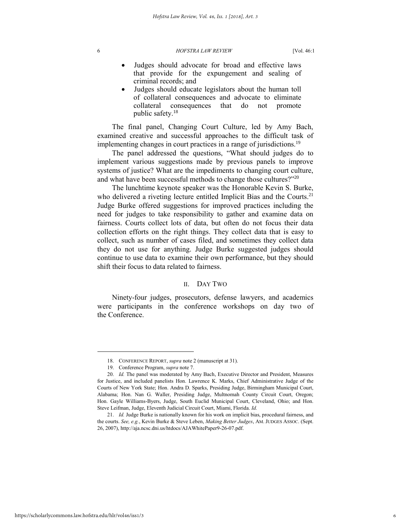- Judges should advocate for broad and effective laws that provide for the expungement and sealing of criminal records; and
- Judges should educate legislators about the human toll of collateral consequences and advocate to eliminate collateral consequences that do not promote public safety.<sup>18</sup>

The final panel, Changing Court Culture, led by Amy Bach, examined creative and successful approaches to the difficult task of implementing changes in court practices in a range of jurisdictions.<sup>19</sup>

The panel addressed the questions, "What should judges do to implement various suggestions made by previous panels to improve systems of justice? What are the impediments to changing court culture, and what have been successful methods to change those cultures?"20

The lunchtime keynote speaker was the Honorable Kevin S. Burke, who delivered a riveting lecture entitled Implicit Bias and the Courts.<sup>21</sup> Judge Burke offered suggestions for improved practices including the need for judges to take responsibility to gather and examine data on fairness. Courts collect lots of data, but often do not focus their data collection efforts on the right things. They collect data that is easy to collect, such as number of cases filed, and sometimes they collect data they do not use for anything. Judge Burke suggested judges should continue to use data to examine their own performance, but they should shift their focus to data related to fairness.

#### II. DAY TWO

Ninety-four judges, prosecutors, defense lawyers, and academics were participants in the conference workshops on day two of the Conference.

<sup>18.</sup> CONFERENCE REPORT, *supra* note 2 (manuscript at 31).

<sup>19.</sup> Conference Program, *supra* note 7.

<sup>20.</sup> *Id.* The panel was moderated by Amy Bach, Executive Director and President, Measures for Justice, and included panelists Hon. Lawrence K. Marks, Chief Administrative Judge of the Courts of New York State; Hon. Andra D. Sparks, Presiding Judge, Birmingham Municipal Court, Alabama; Hon. Nan G. Waller, Presiding Judge, Multnomah County Circuit Court, Oregon; Hon. Gayle Williams-Byers, Judge, South Euclid Municipal Court, Cleveland, Ohio; and Hon. Steve Leifman, Judge, Eleventh Judicial Circuit Court, Miami, Florida. *Id.*

<sup>21.</sup> *Id.* Judge Burke is nationally known for his work on implicit bias, procedural fairness, and the courts. *See, e.g.*, Kevin Burke & Steve Leben, *Making Better Judges*, AM. JUDGES ASSOC. (Sept. 26, 2007), http://aja.ncsc.dni.us/htdocs/AJAWhitePaper9-26-07.pdf.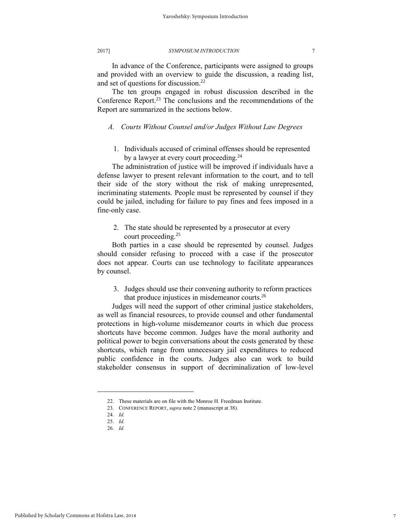In advance of the Conference, participants were assigned to groups and provided with an overview to guide the discussion, a reading list, and set of questions for discussion.<sup>22</sup>

The ten groups engaged in robust discussion described in the Conference Report.<sup>23</sup> The conclusions and the recommendations of the Report are summarized in the sections below.

#### *A. Courts Without Counsel and/or Judges Without Law Degrees*

1. Individuals accused of criminal offenses should be represented by a lawyer at every court proceeding.<sup>24</sup>

The administration of justice will be improved if individuals have a defense lawyer to present relevant information to the court, and to tell their side of the story without the risk of making unrepresented, incriminating statements. People must be represented by counsel if they could be jailed, including for failure to pay fines and fees imposed in a fine-only case.

2. The state should be represented by a prosecutor at every court proceeding.<sup>25</sup>

Both parties in a case should be represented by counsel. Judges should consider refusing to proceed with a case if the prosecutor does not appear. Courts can use technology to facilitate appearances by counsel.

3. Judges should use their convening authority to reform practices that produce injustices in misdemeanor courts.<sup>26</sup>

Judges will need the support of other criminal justice stakeholders, as well as financial resources, to provide counsel and other fundamental protections in high-volume misdemeanor courts in which due process shortcuts have become common. Judges have the moral authority and political power to begin conversations about the costs generated by these shortcuts, which range from unnecessary jail expenditures to reduced public confidence in the courts. Judges also can work to build stakeholder consensus in support of decriminalization of low-level

<sup>22.</sup> These materials are on file with the Monroe H. Freedman Institute.

<sup>23.</sup> CONFERENCE REPORT, *supra* note 2 (manuscript at 38).

<sup>24.</sup> *Id.*

<sup>25.</sup> *Id.*

<sup>26.</sup> *Id.*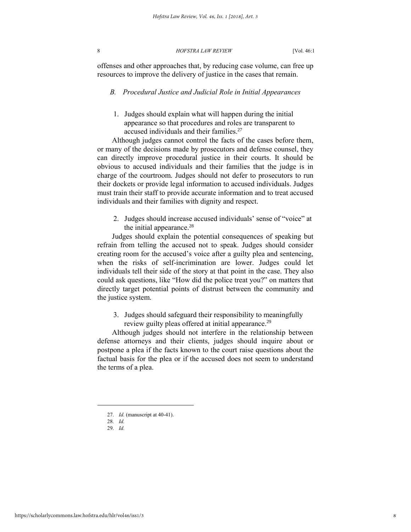offenses and other approaches that, by reducing case volume, can free up resources to improve the delivery of justice in the cases that remain.

#### *B. Procedural Justice and Judicial Role in Initial Appearances*

1. Judges should explain what will happen during the initial appearance so that procedures and roles are transparent to accused individuals and their families.<sup>27</sup>

Although judges cannot control the facts of the cases before them, or many of the decisions made by prosecutors and defense counsel, they can directly improve procedural justice in their courts. It should be obvious to accused individuals and their families that the judge is in charge of the courtroom. Judges should not defer to prosecutors to run their dockets or provide legal information to accused individuals. Judges must train their staff to provide accurate information and to treat accused individuals and their families with dignity and respect.

2. Judges should increase accused individuals' sense of "voice" at the initial appearance.<sup>28</sup>

Judges should explain the potential consequences of speaking but refrain from telling the accused not to speak. Judges should consider creating room for the accused's voice after a guilty plea and sentencing, when the risks of self-incrimination are lower. Judges could let individuals tell their side of the story at that point in the case. They also could ask questions, like "How did the police treat you?" on matters that directly target potential points of distrust between the community and the justice system.

3. Judges should safeguard their responsibility to meaningfully review guilty pleas offered at initial appearance.<sup>29</sup>

Although judges should not interfere in the relationship between defense attorneys and their clients, judges should inquire about or postpone a plea if the facts known to the court raise questions about the factual basis for the plea or if the accused does not seem to understand the terms of a plea.

<sup>27.</sup> *Id.* (manuscript at 40-41).

<sup>28.</sup> *Id.*

<sup>29.</sup> *Id.*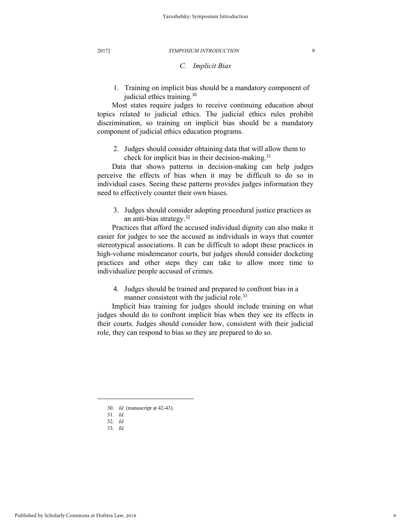## *C. Implicit Bias*

1. Training on implicit bias should be a mandatory component of judicial ethics training.<sup>30</sup>

Most states require judges to receive continuing education about topics related to judicial ethics. The judicial ethics rules prohibit discrimination, so training on implicit bias should be a mandatory component of judicial ethics education programs.

2. Judges should consider obtaining data that will allow them to check for implicit bias in their decision-making. $31$ 

Data that shows patterns in decision-making can help judges perceive the effects of bias when it may be difficult to do so in individual cases. Seeing these patterns provides judges information they need to effectively counter their own biases.

3. Judges should consider adopting procedural justice practices as an anti-bias strategy.<sup>32</sup>

Practices that afford the accused individual dignity can also make it easier for judges to see the accused as individuals in ways that counter stereotypical associations. It can be difficult to adopt these practices in high-volume misdemeanor courts, but judges should consider docketing practices and other steps they can take to allow more time to individualize people accused of crimes.

4. Judges should be trained and prepared to confront bias in a manner consistent with the judicial role.<sup>33</sup>

Implicit bias training for judges should include training on what judges should do to confront implicit bias when they see its effects in their courts. Judges should consider how, consistent with their judicial role, they can respond to bias so they are prepared to do so.

l

33. *Id.*

<sup>30.</sup> *Id.* (manuscript at 42-43).

<sup>31.</sup> *Id.*

<sup>32.</sup> *Id.*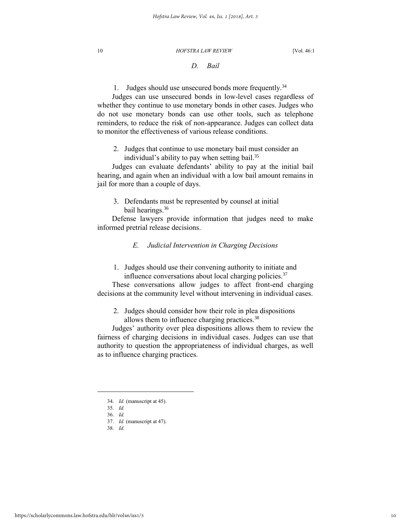## *D. Bail*

1. Judges should use unsecured bonds more frequently.<sup>34</sup>

Judges can use unsecured bonds in low-level cases regardless of whether they continue to use monetary bonds in other cases. Judges who do not use monetary bonds can use other tools, such as telephone reminders, to reduce the risk of non-appearance. Judges can collect data to monitor the effectiveness of various release conditions.

2. Judges that continue to use monetary bail must consider an individual's ability to pay when setting bail.<sup>35</sup>

Judges can evaluate defendants' ability to pay at the initial bail hearing, and again when an individual with a low bail amount remains in jail for more than a couple of days.

3. Defendants must be represented by counsel at initial bail hearings.<sup>36</sup>

Defense lawyers provide information that judges need to make informed pretrial release decisions.

## *E. Judicial Intervention in Charging Decisions*

1. Judges should use their convening authority to initiate and influence conversations about local charging policies.<sup>37</sup>

These conversations allow judges to affect front-end charging decisions at the community level without intervening in individual cases.

2. Judges should consider how their role in plea dispositions allows them to influence charging practices.<sup>38</sup>

Judges' authority over plea dispositions allows them to review the fairness of charging decisions in individual cases. Judges can use that authority to question the appropriateness of individual charges, as well as to influence charging practices.

l

38. *Id.*

<sup>34.</sup> *Id.* (manuscript at 45).

<sup>35.</sup> *Id.*

<sup>36.</sup> *Id.*

<sup>37.</sup> *Id.* (manuscript at 47).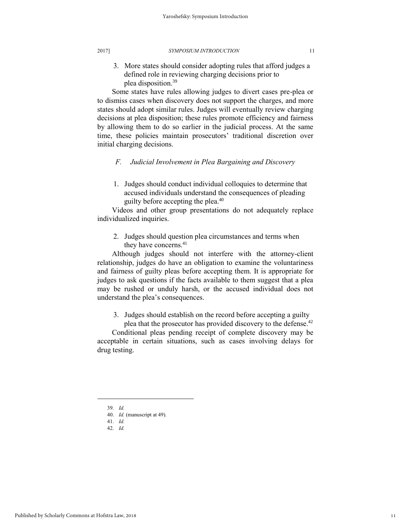3. More states should consider adopting rules that afford judges a defined role in reviewing charging decisions prior to plea disposition.<sup>39</sup>

Some states have rules allowing judges to divert cases pre-plea or to dismiss cases when discovery does not support the charges, and more states should adopt similar rules. Judges will eventually review charging decisions at plea disposition; these rules promote efficiency and fairness by allowing them to do so earlier in the judicial process. At the same time, these policies maintain prosecutors' traditional discretion over initial charging decisions.

## *F. Judicial Involvement in Plea Bargaining and Discovery*

1. Judges should conduct individual colloquies to determine that accused individuals understand the consequences of pleading guilty before accepting the plea.<sup>40</sup>

Videos and other group presentations do not adequately replace individualized inquiries.

2. Judges should question plea circumstances and terms when they have concerns.<sup>41</sup>

Although judges should not interfere with the attorney-client relationship, judges do have an obligation to examine the voluntariness and fairness of guilty pleas before accepting them. It is appropriate for judges to ask questions if the facts available to them suggest that a plea may be rushed or unduly harsh, or the accused individual does not understand the plea's consequences.

3. Judges should establish on the record before accepting a guilty

plea that the prosecutor has provided discovery to the defense.<sup>42</sup>

Conditional pleas pending receipt of complete discovery may be acceptable in certain situations, such as cases involving delays for drug testing.

<sup>39.</sup> *Id.*

<sup>40.</sup> *Id.* (manuscript at 49).

<sup>41.</sup> *Id.*

<sup>42.</sup> *Id.*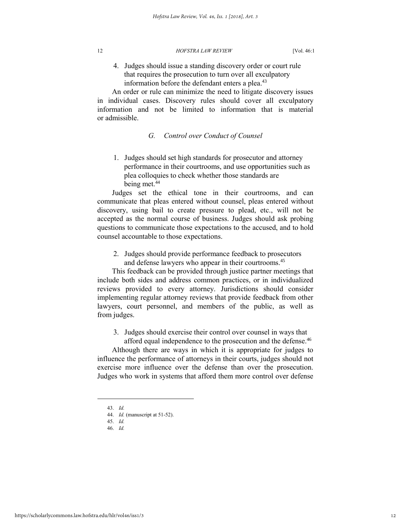4. Judges should issue a standing discovery order or court rule that requires the prosecution to turn over all exculpatory information before the defendant enters a plea.<sup>43</sup>

An order or rule can minimize the need to litigate discovery issues in individual cases. Discovery rules should cover all exculpatory information and not be limited to information that is material or admissible.

## *G. Control over Conduct of Counsel*

1. Judges should set high standards for prosecutor and attorney performance in their courtrooms, and use opportunities such as plea colloquies to check whether those standards are being met.<sup>44</sup>

Judges set the ethical tone in their courtrooms, and can communicate that pleas entered without counsel, pleas entered without discovery, using bail to create pressure to plead, etc., will not be accepted as the normal course of business. Judges should ask probing questions to communicate those expectations to the accused, and to hold counsel accountable to those expectations.

2. Judges should provide performance feedback to prosecutors and defense lawyers who appear in their courtrooms.<sup>45</sup>

This feedback can be provided through justice partner meetings that include both sides and address common practices, or in individualized reviews provided to every attorney. Jurisdictions should consider implementing regular attorney reviews that provide feedback from other lawyers, court personnel, and members of the public, as well as from judges.

3. Judges should exercise their control over counsel in ways that

afford equal independence to the prosecution and the defense.<sup>46</sup> Although there are ways in which it is appropriate for judges to influence the performance of attorneys in their courts, judges should not exercise more influence over the defense than over the prosecution. Judges who work in systems that afford them more control over defense

<sup>43.</sup> *Id.*

<sup>44.</sup> *Id.* (manuscript at 51-52).

<sup>45.</sup> *Id.*

<sup>46.</sup> *Id.*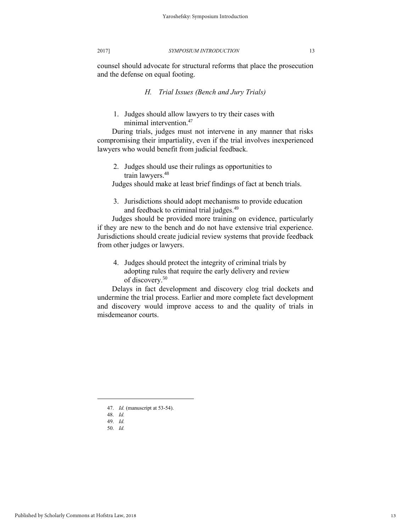counsel should advocate for structural reforms that place the prosecution and the defense on equal footing.

## *H. Trial Issues (Bench and Jury Trials)*

1. Judges should allow lawyers to try their cases with minimal intervention.<sup>47</sup>

During trials, judges must not intervene in any manner that risks compromising their impartiality, even if the trial involves inexperienced lawyers who would benefit from judicial feedback.

2. Judges should use their rulings as opportunities to train lawyers.<sup>48</sup>

Judges should make at least brief findings of fact at bench trials.

3. Jurisdictions should adopt mechanisms to provide education and feedback to criminal trial judges.<sup>49</sup>

Judges should be provided more training on evidence, particularly if they are new to the bench and do not have extensive trial experience. Jurisdictions should create judicial review systems that provide feedback from other judges or lawyers.

4. Judges should protect the integrity of criminal trials by adopting rules that require the early delivery and review of discovery.<sup>50</sup>

Delays in fact development and discovery clog trial dockets and undermine the trial process. Earlier and more complete fact development and discovery would improve access to and the quality of trials in misdemeanor courts.

47. *Id.* (manuscript at 53-54).

<sup>48.</sup> *Id.*

<sup>49.</sup> *Id.*

<sup>50.</sup> *Id.*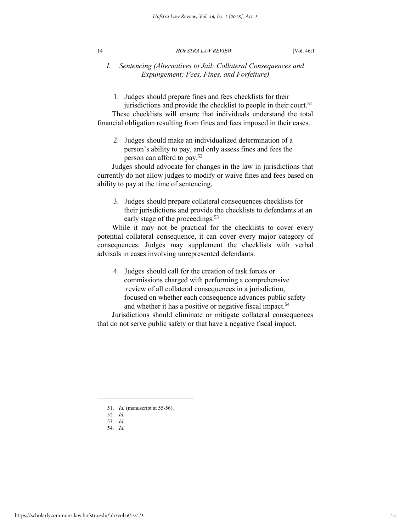## *I. Sentencing (Alternatives to Jail; Collateral Consequences and Expungement; Fees, Fines, and Forfeiture)*

1. Judges should prepare fines and fees checklists for their jurisdictions and provide the checklist to people in their court.<sup>51</sup>

These checklists will ensure that individuals understand the total financial obligation resulting from fines and fees imposed in their cases.

2. Judges should make an individualized determination of a person's ability to pay, and only assess fines and fees the person can afford to pay.<sup>52</sup>

Judges should advocate for changes in the law in jurisdictions that currently do not allow judges to modify or waive fines and fees based on ability to pay at the time of sentencing.

3. Judges should prepare collateral consequences checklists for their jurisdictions and provide the checklists to defendants at an early stage of the proceedings.<sup>53</sup>

While it may not be practical for the checklists to cover every potential collateral consequence, it can cover every major category of consequences. Judges may supplement the checklists with verbal advisals in cases involving unrepresented defendants.

4. Judges should call for the creation of task forces or commissions charged with performing a comprehensive review of all collateral consequences in a jurisdiction, focused on whether each consequence advances public safety and whether it has a positive or negative fiscal impact.<sup>54</sup>

Jurisdictions should eliminate or mitigate collateral consequences that do not serve public safety or that have a negative fiscal impact.

51. *Id.* (manuscript at 55-56).

52. *Id.*

l

54. *Id.*

<sup>53.</sup> *Id.*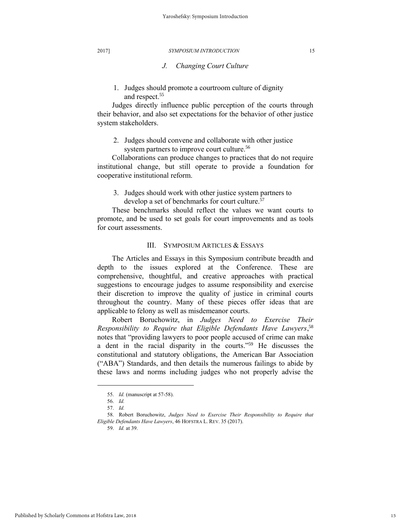## *J. Changing Court Culture*

1. Judges should promote a courtroom culture of dignity and respect.<sup>55</sup>

Judges directly influence public perception of the courts through their behavior, and also set expectations for the behavior of other justice system stakeholders.

2. Judges should convene and collaborate with other justice system partners to improve court culture.<sup>56</sup>

Collaborations can produce changes to practices that do not require institutional change, but still operate to provide a foundation for cooperative institutional reform.

3. Judges should work with other justice system partners to develop a set of benchmarks for court culture.<sup>57</sup>

These benchmarks should reflect the values we want courts to promote, and be used to set goals for court improvements and as tools for court assessments.

#### III. SYMPOSIUM ARTICLES & ESSAYS

The Articles and Essays in this Symposium contribute breadth and depth to the issues explored at the Conference. These are comprehensive, thoughtful, and creative approaches with practical suggestions to encourage judges to assume responsibility and exercise their discretion to improve the quality of justice in criminal courts throughout the country. Many of these pieces offer ideas that are applicable to felony as well as misdemeanor courts.

Robert Boruchowitz, in *Judges Need to Exercise Their Responsibility to Require that Eligible Defendants Have Lawyers*, 58 notes that "providing lawyers to poor people accused of crime can make a dent in the racial disparity in the courts." <sup>59</sup> He discusses the constitutional and statutory obligations, the American Bar Association ("ABA") Standards, and then details the numerous failings to abide by these laws and norms including judges who not properly advise the

<sup>55.</sup> *Id.* (manuscript at 57-58).

<sup>56.</sup> *Id.*

<sup>57.</sup> *Id.*

<sup>58.</sup> Robert Boruchowitz, *Judges Need to Exercise Their Responsibility to Require that Eligible Defendants Have Lawyers*, 46 HOFSTRA L. REV. 35 (2017).

<sup>59.</sup> *Id.* at 39.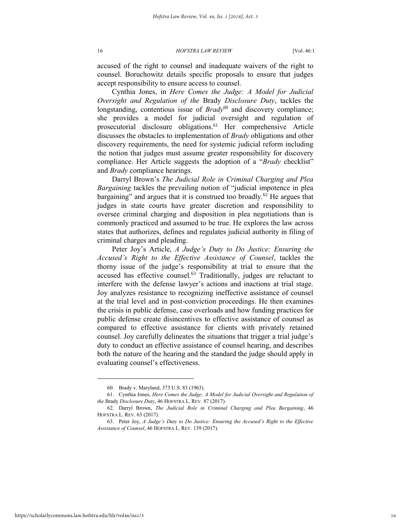accused of the right to counsel and inadequate waivers of the right to counsel. Boruchowitz details specific proposals to ensure that judges accept responsibility to ensure access to counsel.

Cynthia Jones, in *Here Comes the Judge: A Model for Judicial Oversight and Regulation of the* Brady *Disclosure Duty*, tackles the longstanding, contentious issue of *Brady*<sup>60</sup> and discovery compliance; she provides a model for judicial oversight and regulation of prosecutorial disclosure obligations.<sup>61</sup> Her comprehensive Article discusses the obstacles to implementation of *Brady* obligations and other discovery requirements, the need for systemic judicial reform including the notion that judges must assume greater responsibility for discovery compliance. Her Article suggests the adoption of a "*Brady* checklist" and *Brady* compliance hearings.

Darryl Brown's *The Judicial Role in Criminal Charging and Plea Bargaining* tackles the prevailing notion of "judicial impotence in plea bargaining" and argues that it is construed too broadly.<sup>62</sup> He argues that judges in state courts have greater discretion and responsibility to oversee criminal charging and disposition in plea negotiations than is commonly practiced and assumed to be true. He explores the law across states that authorizes, defines and regulates judicial authority in filing of criminal charges and pleading.

Peter Joy's Article, *A Judge's Duty to Do Justice: Ensuring the Accused's Right to the Effective Assistance of Counsel*, tackles the thorny issue of the judge's responsibility at trial to ensure that the accused has effective counsel.<sup>63</sup> Traditionally, judges are reluctant to interfere with the defense lawyer's actions and inactions at trial stage. Joy analyzes resistance to recognizing ineffective assistance of counsel at the trial level and in post-conviction proceedings. He then examines the crisis in public defense, case overloads and how funding practices for public defense create disincentives to effective assistance of counsel as compared to effective assistance for clients with privately retained counsel. Joy carefully delineates the situations that trigger a trial judge's duty to conduct an effective assistance of counsel hearing, and describes both the nature of the hearing and the standard the judge should apply in evaluating counsel's effectiveness.

<sup>60.</sup> Brady v. Maryland, 373 U.S. 83 (1963).

<sup>61.</sup> Cynthia Jones, *Here Comes the Judge: A Model for Judicial Oversight and Regulation of the* Brady *Disclosure Duty*, 46 HOFSTRA L. REV. 87 (2017).

<sup>62.</sup> Darryl Brown, *The Judicial Role in Criminal Charging and Plea Bargaining*, 46 HOFSTRA L. REV. 63 (2017).

<sup>63.</sup> Peter Joy, *A Judge's Duty to Do Justice: Ensuring the Accused's Right to the Effective Assistance of Counsel*, 46 HOFSTRA L. REV. 139 (2017).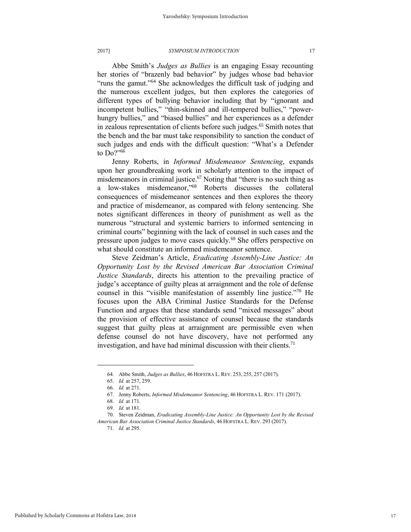Abbe Smith's *Judges as Bullies* is an engaging Essay recounting her stories of "brazenly bad behavior" by judges whose bad behavior "runs the gamut."<sup>64</sup> She acknowledges the difficult task of judging and the numerous excellent judges, but then explores the categories of different types of bullying behavior including that by "ignorant and incompetent bullies," "thin-skinned and ill-tempered bullies," "powerhungry bullies," and "biased bullies" and her experiences as a defender in zealous representation of clients before such judges.<sup>65</sup> Smith notes that the bench and the bar must take responsibility to sanction the conduct of such judges and ends with the difficult question: "What's a Defender to Do?"<sup>66</sup>

Jenny Roberts, in *Informed Misdemeanor Sentencing*, expands upon her groundbreaking work in scholarly attention to the impact of misdemeanors in criminal justice.<sup>67</sup> Noting that "there is no such thing as a low-stakes misdemeanor,"<sup>68</sup> Roberts discusses the collateral consequences of misdemeanor sentences and then explores the theory and practice of misdemeanor, as compared with felony sentencing. She notes significant differences in theory of punishment as well as the numerous "structural and systemic barriers to informed sentencing in criminal courts" beginning with the lack of counsel in such cases and the pressure upon judges to move cases quickly.<sup>69</sup> She offers perspective on what should constitute an informed misdemeanor sentence.

Steve Zeidman's Article, *Eradicating Assembly-Line Justice: An Opportunity Lost by the Revised American Bar Association Criminal Justice Standards*, directs his attention to the prevailing practice of judge's acceptance of guilty pleas at arraignment and the role of defense counsel in this "visible manifestation of assembly line justice."<sup>70</sup> He focuses upon the ABA Criminal Justice Standards for the Defense Function and argues that these standards send "mixed messages" about the provision of effective assistance of counsel because the standards suggest that guilty pleas at arraignment are permissible even when defense counsel do not have discovery, have not performed any investigation, and have had minimal discussion with their clients.<sup>71</sup>

<sup>64.</sup> Abbe Smith, *Judges as Bullies*, 46 HOFSTRA L. REV. 253, 255, 257 (2017).

<sup>65.</sup> *Id.* at 257, 259.

<sup>66.</sup> *Id.* at 271.

<sup>67.</sup> Jenny Roberts, *Informed Misdemeanor Sentencing*, 46 HOFSTRA L. REV. 171 (2017).

<sup>68.</sup> *Id.* at 171.

<sup>69.</sup> *Id.* at 181.

<sup>70.</sup> Steven Zeidman, *Eradicating Assembly-Line Justice: An Opportunity Lost by the Revised American Bar Association Criminal Justice Standards*, 46 HOFSTRA L. REV. 293 (2017).

<sup>71.</sup> *Id.* at 295.